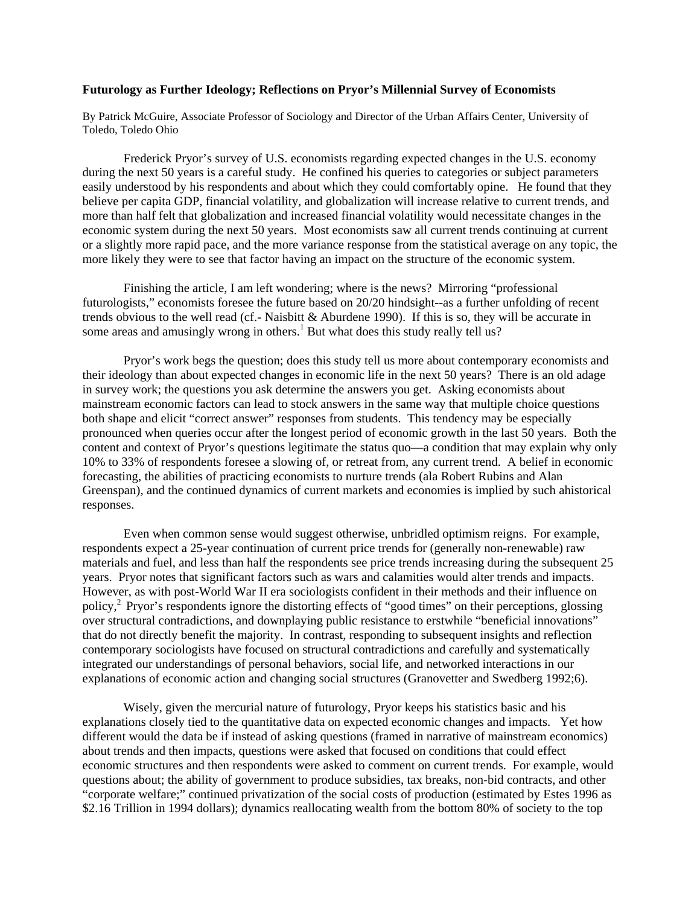## **Futurology as Further Ideology; Reflections on Pryor's Millennial Survey of Economists**

By Patrick McGuire, Associate Professor of Sociology and Director of the Urban Affairs Center, University of Toledo, Toledo Ohio

 Frederick Pryor's survey of U.S. economists regarding expected changes in the U.S. economy during the next 50 years is a careful study. He confined his queries to categories or subject parameters easily understood by his respondents and about which they could comfortably opine. He found that they believe per capita GDP, financial volatility, and globalization will increase relative to current trends, and more than half felt that globalization and increased financial volatility would necessitate changes in the economic system during the next 50 years. Most economists saw all current trends continuing at current or a slightly more rapid pace, and the more variance response from the statistical average on any topic, the more likely they were to see that factor having an impact on the structure of the economic system.

Finishing the article, I am left wondering; where is the news? Mirroring "professional futurologists," economists foresee the future based on 20/20 hindsight--as a further unfolding of recent trends obvious to the well read (cf.- Naisbitt & Aburdene 1990). If this is so, they will be accurate in some areas and amusingly wrong in others.<sup>1</sup> But what does this study really tell us?

 Pryor's work begs the question; does this study tell us more about contemporary economists and their ideology than about expected changes in economic life in the next 50 years? There is an old adage in survey work; the questions you ask determine the answers you get. Asking economists about mainstream economic factors can lead to stock answers in the same way that multiple choice questions both shape and elicit "correct answer" responses from students. This tendency may be especially pronounced when queries occur after the longest period of economic growth in the last 50 years. Both the content and context of Pryor's questions legitimate the status quo—a condition that may explain why only 10% to 33% of respondents foresee a slowing of, or retreat from, any current trend. A belief in economic forecasting, the abilities of practicing economists to nurture trends (ala Robert Rubins and Alan Greenspan), and the continued dynamics of current markets and economies is implied by such ahistorical responses.

Even when common sense would suggest otherwise, unbridled optimism reigns. For example, respondents expect a 25-year continuation of current price trends for (generally non-renewable) raw materials and fuel, and less than half the respondents see price trends increasing during the subsequent 25 years. Pryor notes that significant factors such as wars and calamities would alter trends and impacts. However, as with post-World War II era sociologists confident in their methods and their influence on policy,2 Pryor's respondents ignore the distorting effects of "good times" on their perceptions, glossing over structural contradictions, and downplaying public resistance to erstwhile "beneficial innovations" that do not directly benefit the majority. In contrast, responding to subsequent insights and reflection contemporary sociologists have focused on structural contradictions and carefully and systematically integrated our understandings of personal behaviors, social life, and networked interactions in our explanations of economic action and changing social structures (Granovetter and Swedberg 1992;6).

 Wisely, given the mercurial nature of futurology, Pryor keeps his statistics basic and his explanations closely tied to the quantitative data on expected economic changes and impacts. Yet how different would the data be if instead of asking questions (framed in narrative of mainstream economics) about trends and then impacts, questions were asked that focused on conditions that could effect economic structures and then respondents were asked to comment on current trends. For example, would questions about; the ability of government to produce subsidies, tax breaks, non-bid contracts, and other "corporate welfare;" continued privatization of the social costs of production (estimated by Estes 1996 as \$2.16 Trillion in 1994 dollars); dynamics reallocating wealth from the bottom 80% of society to the top